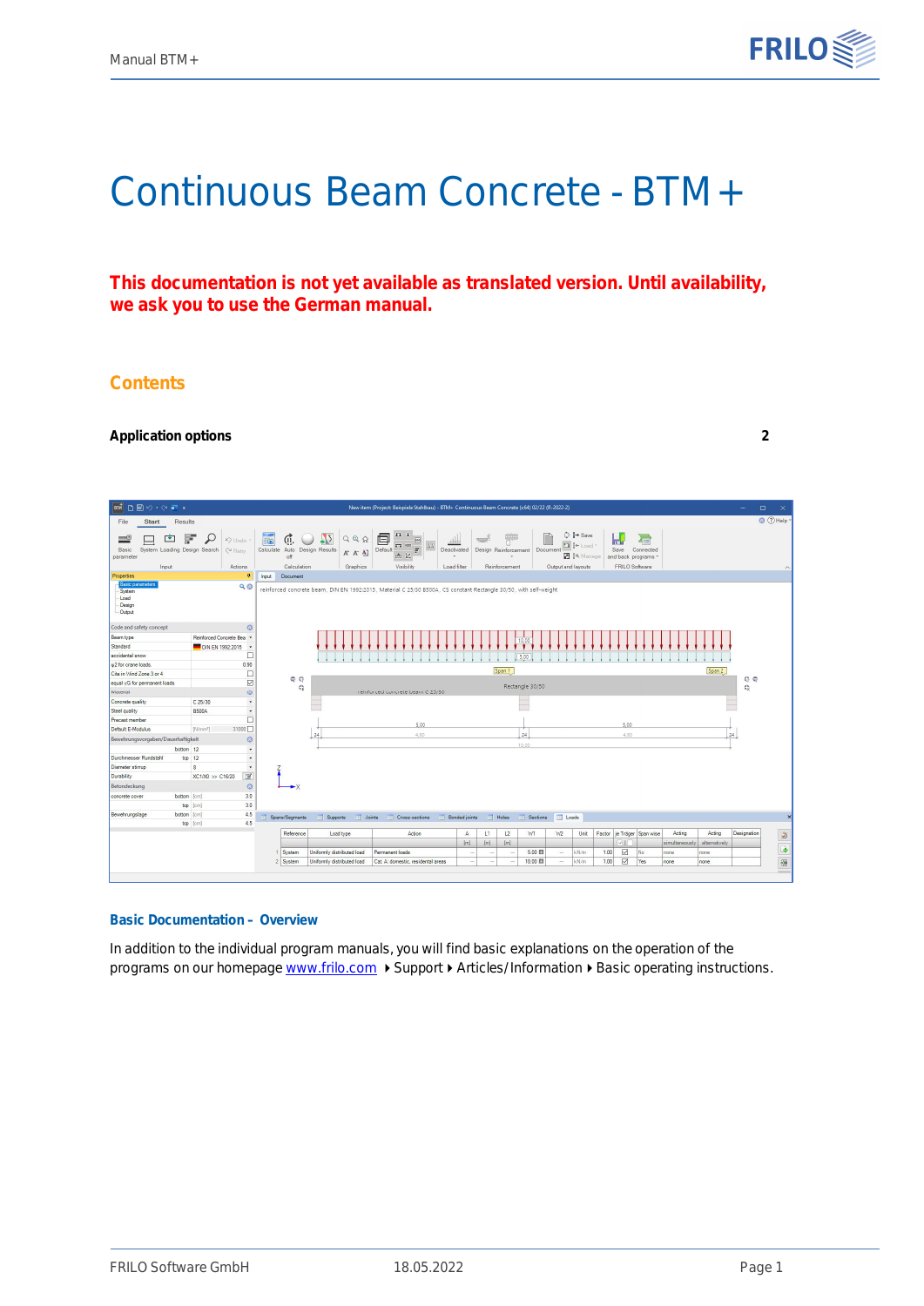

# Continuous Beam Concrete - BTM+

**This documentation is not yet available as translated version. Until availability, we ask you to use the German manual.**

# **Contents**

#### **[Application options](#page-1-0) [2](#page-1-0)**



#### **Basic Documentation – Overview**

In addition to the individual program manuals, you will find basic explanations on the operation of the programs on our homepage [www.frilo.com](https://www.frilo.eu/en/service/articles-information/basic-operating-instructions-frilo-software.html)  $\triangleright$  Support  $\triangleright$  Articles/Information  $\triangleright$  Basic operating instructions.